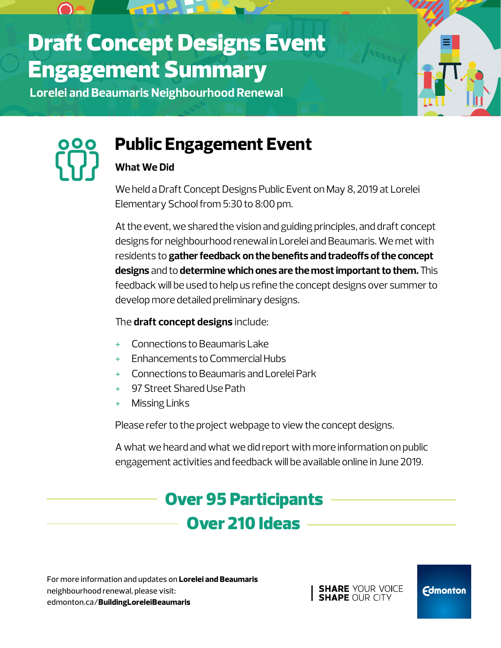# Draft Concept Designs Event Engagement Summary

**Lorelei and Beaumaris Neighbourhood Renewal**





## **Public Engagement Event**

### **What We Did**

We held a Draft Concept Designs Public Event on May 8, 2019 at Lorelei Elementary School from 5:30 to 8:00 pm.

At the event, we shared the vision and guiding principles, and draft concept designs for neighbourhood renewal in Lorelei and Beaumaris. We met with residents to **gather feedback on the benefits and tradeoffs of the concept designs** and to **determine which ones are the most important to them.** This feedback will be used to help us refine the concept designs over summer to develop more detailed preliminary designs.

### The **draft concept designs** include:

- Connections to Beaumaris Lake
- + Enhancements to Commercial Hubs
- + Connections to Beaumaris and Lorelei Park
- + 97 Street Shared Use Path
- + Missing Links

Please refer to the project webpage to view the concept designs.

A what we heard and what we did report with more information on public engagement activities and feedback will be available online in June 2019.

## Over 210 Ideas Over 95 Participants

For more information and updates on **Lorelei and Beaumaris**  neighbourhood renewal, please visit: edmonton.ca/**BuildingLoreleiBeaumaris** 

**SHARE YOUR VOICE SHAPE OUR CITY** 

**Edmonton**